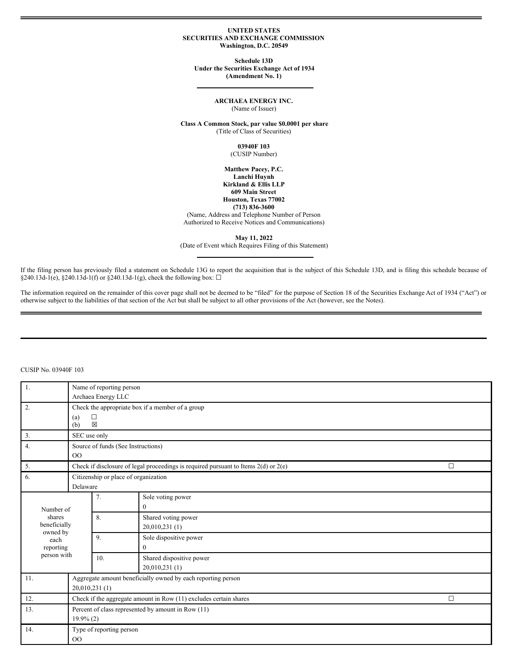### **UNITED STATES SECURITIES AND EXCHANGE COMMISSION Washington, D.C. 20549**

**Schedule 13D Under the Securities Exchange Act of 1934 (Amendment No. 1)**

## **ARCHAEA ENERGY INC.** (Name of Issuer)

**Class A Common Stock, par value \$0.0001 per share** (Title of Class of Securities)

> **03940F 103** (CUSIP Number)

**Matthew Pacey, P.C. Lanchi Huynh Kirkland & Ellis LLP 609 Main Street Houston, Texas 77002 (713) 836-3600** (Name, Address and Telephone Number of Person Authorized to Receive Notices and Communications)

**May 11, 2022** (Date of Event which Requires Filing of this Statement)

If the filing person has previously filed a statement on Schedule 13G to report the acquisition that is the subject of this Schedule 13D, and is filing this schedule because of §240.13d-1(e), §240.13d-1(f) or §240.13d-1(g), check the following box:  $\Box$ 

The information required on the remainder of this cover page shall not be deemed to be "filed" for the purpose of Section 18 of the Securities Exchange Act of 1934 ("Act") or otherwise subject to the liabilities of that section of the Act but shall be subject to all other provisions of the Act (however, see the Notes).

| $\vert 1.$       | Name of reporting person                                                      |                                                  |                                                                                         |        |  |  |  |  |
|------------------|-------------------------------------------------------------------------------|--------------------------------------------------|-----------------------------------------------------------------------------------------|--------|--|--|--|--|
|                  |                                                                               | Archaea Energy LLC                               |                                                                                         |        |  |  |  |  |
| 2.               |                                                                               | Check the appropriate box if a member of a group |                                                                                         |        |  |  |  |  |
|                  | (a)                                                                           | □                                                |                                                                                         |        |  |  |  |  |
|                  | (b)                                                                           | 区                                                |                                                                                         |        |  |  |  |  |
| 3.               | SEC use only                                                                  |                                                  |                                                                                         |        |  |  |  |  |
| 4.               |                                                                               | Source of funds (See Instructions)               |                                                                                         |        |  |  |  |  |
|                  | $00\,$                                                                        |                                                  |                                                                                         |        |  |  |  |  |
| 5.               |                                                                               |                                                  | Check if disclosure of legal proceedings is required pursuant to Items $2(d)$ or $2(e)$ | $\Box$ |  |  |  |  |
| 6.               |                                                                               | Citizenship or place of organization             |                                                                                         |        |  |  |  |  |
|                  | Delaware                                                                      |                                                  |                                                                                         |        |  |  |  |  |
|                  |                                                                               | 7.                                               | Sole voting power                                                                       |        |  |  |  |  |
| Number of        |                                                                               |                                                  | $\mathbf{0}$                                                                            |        |  |  |  |  |
| shares           |                                                                               | 8.                                               | Shared voting power                                                                     |        |  |  |  |  |
| beneficially     |                                                                               |                                                  | 20,010,231 (1)                                                                          |        |  |  |  |  |
| owned by<br>each |                                                                               | 9.                                               | Sole dispositive power                                                                  |        |  |  |  |  |
| reporting        |                                                                               |                                                  | $\Omega$                                                                                |        |  |  |  |  |
| person with      |                                                                               | 10.                                              | Shared dispositive power                                                                |        |  |  |  |  |
|                  |                                                                               |                                                  | 20,010,231 (1)                                                                          |        |  |  |  |  |
| 11.              |                                                                               |                                                  | Aggregate amount beneficially owned by each reporting person                            |        |  |  |  |  |
|                  | 20,010,231 (1)                                                                |                                                  |                                                                                         |        |  |  |  |  |
| 12.              | Check if the aggregate amount in Row $(11)$ excludes certain shares<br>$\Box$ |                                                  |                                                                                         |        |  |  |  |  |
| 13.              | Percent of class represented by amount in Row (11)                            |                                                  |                                                                                         |        |  |  |  |  |
|                  | $19.9\%$ (2)                                                                  |                                                  |                                                                                         |        |  |  |  |  |
| 14.              |                                                                               | Type of reporting person                         |                                                                                         |        |  |  |  |  |
|                  | O <sub>O</sub>                                                                |                                                  |                                                                                         |        |  |  |  |  |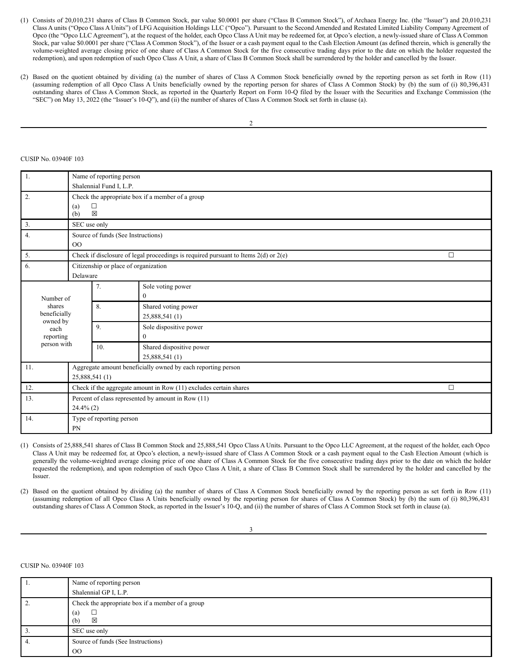- (1) Consists of 20,010,231 shares of Class B Common Stock, par value \$0.0001 per share ("Class B Common Stock"), of Archaea Energy Inc. (the "Issuer") and 20,010,231 Class A units ("Opco Class A Units") of LFG Acquisition Holdings LLC ("Opco"). Pursuant to the Second Amended and Restated Limited Liability Company Agreement of Opco (the "Opco LLC Agreement"), at the request of the holder, each Opco Class A Unit may be redeemed for, at Opco's election, a newly-issued share of Class A Common Stock, par value \$0.0001 per share ("Class A Common Stock"), of the Issuer or a cash payment equal to the Cash Election Amount (as defined therein, which is generally the volume-weighted average closing price of one share of Class A Common Stock for the five consecutive trading days prior to the date on which the holder requested the redemption), and upon redemption of such Opco Class A Unit, a share of Class B Common Stock shall be surrendered by the holder and cancelled by the Issuer.
- (2) Based on the quotient obtained by dividing (a) the number of shares of Class A Common Stock beneficially owned by the reporting person as set forth in Row (11) (assuming redemption of all Opco Class A Units beneficially owned by the reporting person for shares of Class A Common Stock) by (b) the sum of (i) 80,396,431 outstanding shares of Class A Common Stock, as reported in the Quarterly Report on Form 10-Q filed by the Issuer with the Securities and Exchange Commission (the "SEC") on May 13, 2022 (the "Issuer's 10-Q"), and (ii) the number of shares of Class A Common Stock set forth in clause (a).

## CUSIP No. 03940F 103

| 1.                            | Name of reporting person<br>Shalennial Fund I, L.P.                            |                                                                           |                                                                                         |   |  |  |  |
|-------------------------------|--------------------------------------------------------------------------------|---------------------------------------------------------------------------|-----------------------------------------------------------------------------------------|---|--|--|--|
| 2.                            | (a)<br>(b)                                                                     | Check the appropriate box if a member of a group<br>$\Box$<br>$\boxtimes$ |                                                                                         |   |  |  |  |
| 3.                            | SEC use only                                                                   |                                                                           |                                                                                         |   |  |  |  |
| 4.                            | O <sub>O</sub>                                                                 | Source of funds (See Instructions)                                        |                                                                                         |   |  |  |  |
| 5.                            |                                                                                |                                                                           | Check if disclosure of legal proceedings is required pursuant to Items $2(d)$ or $2(e)$ | □ |  |  |  |
| 6.                            | Delaware                                                                       | Citizenship or place of organization                                      |                                                                                         |   |  |  |  |
| Number of                     |                                                                                | 7.                                                                        | Sole voting power<br>$\theta$                                                           |   |  |  |  |
| shares<br>beneficially        |                                                                                | 8.                                                                        | Shared voting power<br>25,888,541 (1)                                                   |   |  |  |  |
| owned by<br>each<br>reporting |                                                                                | 9.                                                                        | Sole dispositive power<br>$\theta$                                                      |   |  |  |  |
| person with                   |                                                                                | 10.                                                                       | Shared dispositive power<br>25,888,541 (1)                                              |   |  |  |  |
| 11.                           | Aggregate amount beneficially owned by each reporting person<br>25,888,541 (1) |                                                                           |                                                                                         |   |  |  |  |
| 12.                           | Check if the aggregate amount in Row (11) excludes certain shares<br>$\Box$    |                                                                           |                                                                                         |   |  |  |  |
| 13.                           | Percent of class represented by amount in Row (11)<br>$24.4\%$ (2)             |                                                                           |                                                                                         |   |  |  |  |
| 14.                           | PN                                                                             | Type of reporting person                                                  |                                                                                         |   |  |  |  |

(1) Consists of 25,888,541 shares of Class B Common Stock and 25,888,541 Opco Class A Units. Pursuant to the Opco LLC Agreement, at the request of the holder, each Opco Class A Unit may be redeemed for, at Opco's election, a newly-issued share of Class A Common Stock or a cash payment equal to the Cash Election Amount (which is generally the volume-weighted average closing price of one share of Class A Common Stock for the five consecutive trading days prior to the date on which the holder requested the redemption), and upon redemption of such Opco Class A Unit, a share of Class B Common Stock shall be surrendered by the holder and cancelled by the Issuer.

(2) Based on the quotient obtained by dividing (a) the number of shares of Class A Common Stock beneficially owned by the reporting person as set forth in Row (11) (assuming redemption of all Opco Class A Units beneficially owned by the reporting person for shares of Class A Common Stock) by (b) the sum of (i) 80,396,431 outstanding shares of Class A Common Stock, as reported in the Issuer's 10-Q, and (ii) the number of shares of Class A Common Stock set forth in clause (a).

3

| -1. | Name of reporting person                         |
|-----|--------------------------------------------------|
|     | Shalennial GP I, L.P.                            |
| 2.  | Check the appropriate box if a member of a group |
|     | (a)<br>⊠<br>(b)                                  |
| 3.  | SEC use only                                     |
| 4.  | Source of funds (See Instructions)               |
|     | $_{\rm OO}$                                      |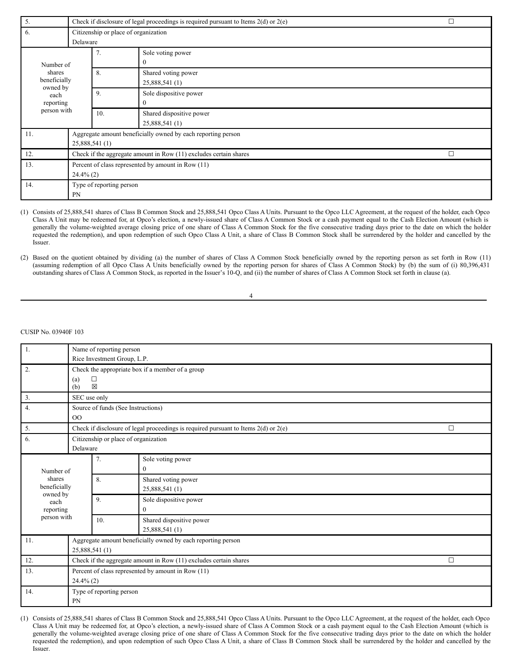| 5.                                 | $\Box$<br>Check if disclosure of legal proceedings is required pursuant to Items $2(d)$ or $2(e)$ |     |                                                              |  |  |
|------------------------------------|---------------------------------------------------------------------------------------------------|-----|--------------------------------------------------------------|--|--|
| 6.                                 | Delaware                                                                                          |     | Citizenship or place of organization                         |  |  |
| Number of                          | 7.                                                                                                |     | Sole voting power<br>$\mathbf{0}$                            |  |  |
| shares<br>beneficially<br>owned by |                                                                                                   | 8.  | Shared voting power<br>25,888,541 (1)                        |  |  |
| each<br>reporting                  | 9.                                                                                                |     | Sole dispositive power<br>$\Omega$                           |  |  |
| person with                        |                                                                                                   | 10. | Shared dispositive power<br>25,888,541 (1)                   |  |  |
| 11.                                | 25,888,541 (1)                                                                                    |     | Aggregate amount beneficially owned by each reporting person |  |  |
| 12.                                | Check if the aggregate amount in Row (11) excludes certain shares<br>$\Box$                       |     |                                                              |  |  |
| 13.                                | Percent of class represented by amount in Row (11)<br>$24.4\%$ (2)                                |     |                                                              |  |  |
| 14.                                | Type of reporting person<br>PN                                                                    |     |                                                              |  |  |

(1) Consists of 25,888,541 shares of Class B Common Stock and 25,888,541 Opco Class A Units. Pursuant to the Opco LLC Agreement, at the request of the holder, each Opco Class A Unit may be redeemed for, at Opco's election, a newly-issued share of Class A Common Stock or a cash payment equal to the Cash Election Amount (which is generally the volume-weighted average closing price of one share of Class A Common Stock for the five consecutive trading days prior to the date on which the holder requested the redemption), and upon redemption of such Opco Class A Unit, a share of Class B Common Stock shall be surrendered by the holder and cancelled by the Issuer.

(2) Based on the quotient obtained by dividing (a) the number of shares of Class A Common Stock beneficially owned by the reporting person as set forth in Row (11) (assuming redemption of all Opco Class A Units beneficially owned by the reporting person for shares of Class A Common Stock) by (b) the sum of (i) 80,396,431 outstanding shares of Class A Common Stock, as reported in the Issuer's 10-Q, and (ii) the number of shares of Class A Common Stock set forth in clause (a).

| ٦ |  |
|---|--|
|   |  |
|   |  |
|   |  |
|   |  |

CUSIP No. 03940F 103

| $\mathbf{1}$ .   | Name of reporting person                                          |                                      |                                                                                         |   |  |  |  |
|------------------|-------------------------------------------------------------------|--------------------------------------|-----------------------------------------------------------------------------------------|---|--|--|--|
|                  | Rice Investment Group, L.P.                                       |                                      |                                                                                         |   |  |  |  |
| 2.               |                                                                   |                                      | Check the appropriate box if a member of a group                                        |   |  |  |  |
|                  | (a)                                                               | □                                    |                                                                                         |   |  |  |  |
|                  | (b)                                                               | $\boxtimes$                          |                                                                                         |   |  |  |  |
| 3.               | SEC use only                                                      |                                      |                                                                                         |   |  |  |  |
| 4.               |                                                                   | Source of funds (See Instructions)   |                                                                                         |   |  |  |  |
|                  | OQ                                                                |                                      |                                                                                         |   |  |  |  |
| 5.               |                                                                   |                                      | Check if disclosure of legal proceedings is required pursuant to Items $2(d)$ or $2(e)$ | П |  |  |  |
| 6.               |                                                                   | Citizenship or place of organization |                                                                                         |   |  |  |  |
|                  | Delaware                                                          |                                      |                                                                                         |   |  |  |  |
|                  |                                                                   | 7.                                   | Sole voting power                                                                       |   |  |  |  |
| Number of        |                                                                   |                                      | $\boldsymbol{0}$                                                                        |   |  |  |  |
| shares           |                                                                   | 8.                                   | Shared voting power                                                                     |   |  |  |  |
| beneficially     |                                                                   |                                      | 25,888,541 (1)                                                                          |   |  |  |  |
| owned by<br>each |                                                                   | 9.                                   | Sole dispositive power                                                                  |   |  |  |  |
| reporting        |                                                                   |                                      | $\Omega$                                                                                |   |  |  |  |
| person with      |                                                                   | 10.                                  | Shared dispositive power                                                                |   |  |  |  |
|                  |                                                                   |                                      | 25,888,541 (1)                                                                          |   |  |  |  |
| 11.              |                                                                   |                                      |                                                                                         |   |  |  |  |
|                  | Aggregate amount beneficially owned by each reporting person      |                                      |                                                                                         |   |  |  |  |
|                  | 25,888,541 (1)                                                    |                                      |                                                                                         |   |  |  |  |
| 12.              | Check if the aggregate amount in Row (11) excludes certain shares |                                      |                                                                                         |   |  |  |  |
| 13.              | Percent of class represented by amount in Row (11)                |                                      |                                                                                         |   |  |  |  |
|                  | $24.4\%$ (2)                                                      |                                      |                                                                                         |   |  |  |  |
| 14.              |                                                                   | Type of reporting person             |                                                                                         |   |  |  |  |
|                  | PN                                                                |                                      |                                                                                         |   |  |  |  |
|                  |                                                                   |                                      |                                                                                         |   |  |  |  |

(1) Consists of 25,888,541 shares of Class B Common Stock and 25,888,541 Opco Class A Units. Pursuant to the Opco LLC Agreement, at the request of the holder, each Opco Class A Unit may be redeemed for, at Opco's election, a newly-issued share of Class A Common Stock or a cash payment equal to the Cash Election Amount (which is generally the volume-weighted average closing price of one share of Class A Common Stock for the five consecutive trading days prior to the date on which the holder requested the redemption), and upon redemption of such Opco Class A Unit, a share of Class B Common Stock shall be surrendered by the holder and cancelled by the Issuer.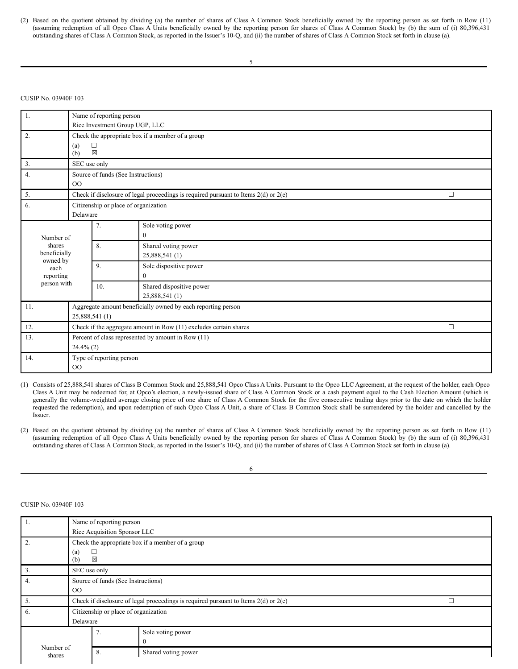(2) Based on the quotient obtained by dividing (a) the number of shares of Class A Common Stock beneficially owned by the reporting person as set forth in Row (11) (assuming redemption of all Opco Class A Units beneficially owned by the reporting person for shares of Class A Common Stock) by (b) the sum of (i) 80,396,431 outstanding shares of Class A Common Stock, as reported in the Issuer's 10-Q, and (ii) the number of shares of Class A Common Stock set forth in clause (a).

## CUSIP No. 03940F 103

| 1.                       | Name of reporting person                           |                                      |                                                                                         |        |  |  |  |  |
|--------------------------|----------------------------------------------------|--------------------------------------|-----------------------------------------------------------------------------------------|--------|--|--|--|--|
|                          |                                                    | Rice Investment Group UGP, LLC       |                                                                                         |        |  |  |  |  |
| 2.                       |                                                    |                                      | Check the appropriate box if a member of a group                                        |        |  |  |  |  |
|                          | (a)                                                | $\Box$                               |                                                                                         |        |  |  |  |  |
|                          | (b)                                                | 区                                    |                                                                                         |        |  |  |  |  |
| 3.                       | SEC use only                                       |                                      |                                                                                         |        |  |  |  |  |
| 4.                       |                                                    | Source of funds (See Instructions)   |                                                                                         |        |  |  |  |  |
|                          | 00                                                 |                                      |                                                                                         |        |  |  |  |  |
| 5.                       |                                                    |                                      | Check if disclosure of legal proceedings is required pursuant to Items $2(d)$ or $2(e)$ | $\Box$ |  |  |  |  |
| 6.                       |                                                    | Citizenship or place of organization |                                                                                         |        |  |  |  |  |
|                          | Delaware                                           |                                      |                                                                                         |        |  |  |  |  |
|                          |                                                    | 7.                                   | Sole voting power                                                                       |        |  |  |  |  |
| Number of                |                                                    |                                      | $\mathbf{0}$                                                                            |        |  |  |  |  |
| shares                   |                                                    | 8.                                   | Shared voting power                                                                     |        |  |  |  |  |
| beneficially<br>owned by |                                                    |                                      | 25,888,541 (1)                                                                          |        |  |  |  |  |
| each                     |                                                    | 9.                                   | Sole dispositive power                                                                  |        |  |  |  |  |
| reporting                |                                                    |                                      | $\Omega$                                                                                |        |  |  |  |  |
| person with              |                                                    | 10.                                  | Shared dispositive power                                                                |        |  |  |  |  |
|                          |                                                    |                                      | 25,888,541 (1)                                                                          |        |  |  |  |  |
| 11.                      |                                                    |                                      | Aggregate amount beneficially owned by each reporting person                            |        |  |  |  |  |
|                          | 25,888,541 (1)                                     |                                      |                                                                                         |        |  |  |  |  |
| 12.                      |                                                    |                                      | Check if the aggregate amount in Row (11) excludes certain shares                       | $\Box$ |  |  |  |  |
| 13.                      | Percent of class represented by amount in Row (11) |                                      |                                                                                         |        |  |  |  |  |
|                          | $24.4\%$ (2)                                       |                                      |                                                                                         |        |  |  |  |  |
| 14.                      |                                                    | Type of reporting person             |                                                                                         |        |  |  |  |  |
|                          | O <sub>O</sub>                                     |                                      |                                                                                         |        |  |  |  |  |

(1) Consists of 25,888,541 shares of Class B Common Stock and 25,888,541 Opco Class A Units. Pursuant to the Opco LLC Agreement, at the request of the holder, each Opco Class A Unit may be redeemed for, at Opco's election, a newly-issued share of Class A Common Stock or a cash payment equal to the Cash Election Amount (which is generally the volume-weighted average closing price of one share of Class A Common Stock for the five consecutive trading days prior to the date on which the holder requested the redemption), and upon redemption of such Opco Class A Unit, a share of Class B Common Stock shall be surrendered by the holder and cancelled by the Issuer.

(2) Based on the quotient obtained by dividing (a) the number of shares of Class A Common Stock beneficially owned by the reporting person as set forth in Row (11) (assuming redemption of all Opco Class A Units beneficially owned by the reporting person for shares of Class A Common Stock) by (b) the sum of (i) 80,396,431 outstanding shares of Class A Common Stock, as reported in the Issuer's 10-Q, and (ii) the number of shares of Class A Common Stock set forth in clause (a).

6

|                     | Name of reporting person           |                                      |                                                                                         |  |  |  |  |
|---------------------|------------------------------------|--------------------------------------|-----------------------------------------------------------------------------------------|--|--|--|--|
|                     | Rice Acquisition Sponsor LLC       |                                      |                                                                                         |  |  |  |  |
|                     |                                    |                                      | Check the appropriate box if a member of a group                                        |  |  |  |  |
|                     | (a)<br>(b)                         | 図                                    |                                                                                         |  |  |  |  |
|                     | SEC use only                       |                                      |                                                                                         |  |  |  |  |
| 4.                  | Source of funds (See Instructions) |                                      |                                                                                         |  |  |  |  |
|                     | $_{\rm OO}$                        |                                      |                                                                                         |  |  |  |  |
| 5.                  |                                    |                                      | Check if disclosure of legal proceedings is required pursuant to Items $2(d)$ or $2(e)$ |  |  |  |  |
| 6.                  |                                    | Citizenship or place of organization |                                                                                         |  |  |  |  |
|                     | Delaware                           |                                      |                                                                                         |  |  |  |  |
|                     |                                    | 7.                                   | Sole voting power                                                                       |  |  |  |  |
|                     |                                    |                                      |                                                                                         |  |  |  |  |
| Number of<br>shares |                                    | 8.                                   | Shared voting power                                                                     |  |  |  |  |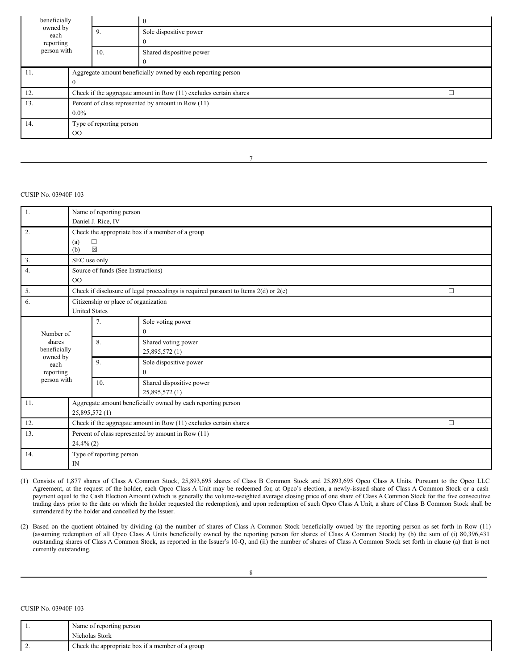| beneficially<br>owned by<br>9.<br>each |                                                                   |                                                              | $\mathbf{0}$                                       |  |  |  |
|----------------------------------------|-------------------------------------------------------------------|--------------------------------------------------------------|----------------------------------------------------|--|--|--|
|                                        |                                                                   |                                                              | Sole dispositive power                             |  |  |  |
| reporting                              |                                                                   |                                                              |                                                    |  |  |  |
| person with                            |                                                                   | 10.                                                          | Shared dispositive power                           |  |  |  |
|                                        |                                                                   |                                                              |                                                    |  |  |  |
| 11.                                    |                                                                   | Aggregate amount beneficially owned by each reporting person |                                                    |  |  |  |
|                                        |                                                                   |                                                              |                                                    |  |  |  |
| 12.                                    | Check if the aggregate amount in Row (11) excludes certain shares |                                                              |                                                    |  |  |  |
| 13.                                    |                                                                   |                                                              | Percent of class represented by amount in Row (11) |  |  |  |
|                                        | $0.0\%$                                                           |                                                              |                                                    |  |  |  |
| 14.                                    | Type of reporting person                                          |                                                              |                                                    |  |  |  |
|                                        | $00\,$                                                            |                                                              |                                                    |  |  |  |
|                                        |                                                                   |                                                              |                                                    |  |  |  |

7

## CUSIP No. 03940F 103

| 1.                                 |                                                                                | Name of reporting person<br>Daniel J. Rice, IV |                                                                                         |        |  |  |  |
|------------------------------------|--------------------------------------------------------------------------------|------------------------------------------------|-----------------------------------------------------------------------------------------|--------|--|--|--|
| 2.                                 | (a)<br>(b)                                                                     | $\Box$<br>$\boxtimes$                          | Check the appropriate box if a member of a group                                        |        |  |  |  |
| 3.                                 | SEC use only                                                                   |                                                |                                                                                         |        |  |  |  |
| 4.                                 | O <sub>O</sub>                                                                 | Source of funds (See Instructions)             |                                                                                         |        |  |  |  |
| 5.                                 |                                                                                |                                                | Check if disclosure of legal proceedings is required pursuant to Items $2(d)$ or $2(e)$ | $\Box$ |  |  |  |
| 6.                                 | <b>United States</b>                                                           |                                                | Citizenship or place of organization                                                    |        |  |  |  |
| Number of                          |                                                                                | 7.                                             | Sole voting power<br>$\mathbf{0}$                                                       |        |  |  |  |
| shares<br>beneficially<br>owned by |                                                                                | 8.                                             | Shared voting power<br>25,895,572 (1)                                                   |        |  |  |  |
| each<br>reporting                  |                                                                                | 9.                                             | Sole dispositive power<br>$\overline{0}$                                                |        |  |  |  |
| person with                        |                                                                                | 10.                                            | Shared dispositive power<br>25,895,572 (1)                                              |        |  |  |  |
| 11.                                | Aggregate amount beneficially owned by each reporting person<br>25,895,572 (1) |                                                |                                                                                         |        |  |  |  |
| 12.                                | Check if the aggregate amount in Row (11) excludes certain shares              |                                                |                                                                                         |        |  |  |  |
| 13.                                | Percent of class represented by amount in Row (11)<br>$24.4\%$ (2)             |                                                |                                                                                         |        |  |  |  |
| 14.                                | Type of reporting person<br>$\mathbb{N}$                                       |                                                |                                                                                         |        |  |  |  |

(1) Consists of 1,877 shares of Class A Common Stock, 25,893,695 shares of Class B Common Stock and 25,893,695 Opco Class A Units. Pursuant to the Opco LLC Agreement, at the request of the holder, each Opco Class A Unit may be redeemed for, at Opco's election, a newly-issued share of Class A Common Stock or a cash payment equal to the Cash Election Amount (which is generally the volume-weighted average closing price of one share of Class A Common Stock for the five consecutive trading days prior to the date on which the holder requested the redemption), and upon redemption of such Opco Class A Unit, a share of Class B Common Stock shall be surrendered by the holder and cancelled by the Issuer.

(2) Based on the quotient obtained by dividing (a) the number of shares of Class A Common Stock beneficially owned by the reporting person as set forth in Row (11) (assuming redemption of all Opco Class A Units beneficially owned by the reporting person for shares of Class A Common Stock) by (b) the sum of (i) 80,396,431 outstanding shares of Class A Common Stock, as reported in the Issuer's 10-Q, and (ii) the number of shares of Class A Common Stock set forth in clause (a) that is not currently outstanding.

| . .      | Name of reporting person                         |
|----------|--------------------------------------------------|
|          | Nicholas Stork                                   |
| <u>.</u> | Check the appropriate box if a member of a group |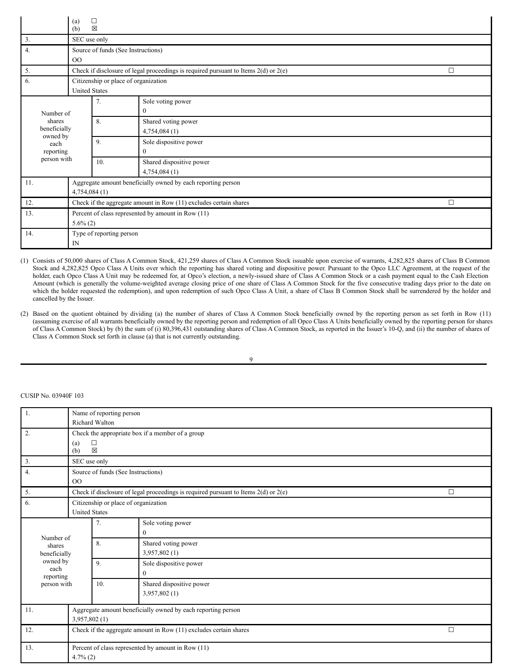|                          | □<br>(a)<br>$\boxtimes$<br>(b)                                    |                          |                                                                                         |        |  |  |  |
|--------------------------|-------------------------------------------------------------------|--------------------------|-----------------------------------------------------------------------------------------|--------|--|--|--|
| 3.                       | SEC use only                                                      |                          |                                                                                         |        |  |  |  |
| 4.                       |                                                                   |                          | Source of funds (See Instructions)                                                      |        |  |  |  |
|                          | 00                                                                |                          |                                                                                         |        |  |  |  |
| 5.                       |                                                                   |                          | Check if disclosure of legal proceedings is required pursuant to Items $2(d)$ or $2(e)$ | $\Box$ |  |  |  |
| 6.                       |                                                                   |                          | Citizenship or place of organization                                                    |        |  |  |  |
|                          | <b>United States</b>                                              |                          |                                                                                         |        |  |  |  |
|                          |                                                                   | 7.                       | Sole voting power                                                                       |        |  |  |  |
| Number of                |                                                                   |                          | 0                                                                                       |        |  |  |  |
| shares                   |                                                                   | 8.                       | Shared voting power                                                                     |        |  |  |  |
| beneficially<br>owned by |                                                                   |                          | 4,754,084(1)                                                                            |        |  |  |  |
| each                     |                                                                   | 9.                       | Sole dispositive power                                                                  |        |  |  |  |
| reporting                |                                                                   |                          | 0                                                                                       |        |  |  |  |
| person with              |                                                                   | 10.                      | Shared dispositive power                                                                |        |  |  |  |
|                          |                                                                   |                          | 4,754,084(1)                                                                            |        |  |  |  |
| 11.                      |                                                                   |                          | Aggregate amount beneficially owned by each reporting person                            |        |  |  |  |
|                          | 4,754,084(1)                                                      |                          |                                                                                         |        |  |  |  |
| 12.                      | Check if the aggregate amount in Row (11) excludes certain shares |                          |                                                                                         |        |  |  |  |
| 13.                      | Percent of class represented by amount in Row (11)                |                          |                                                                                         |        |  |  |  |
| $5.6\%$ (2)              |                                                                   |                          |                                                                                         |        |  |  |  |
| 14.                      |                                                                   | Type of reporting person |                                                                                         |        |  |  |  |
|                          | IN                                                                |                          |                                                                                         |        |  |  |  |

(1) Consists of 50,000 shares of Class A Common Stock, 421,259 shares of Class A Common Stock issuable upon exercise of warrants, 4,282,825 shares of Class B Common Stock and 4,282,825 Opco Class A Units over which the reporting has shared voting and dispositive power. Pursuant to the Opco LLC Agreement, at the request of the holder, each Opco Class A Unit may be redeemed for, at Opco's election, a newly-issued share of Class A Common Stock or a cash payment equal to the Cash Election Amount (which is generally the volume-weighted average closing price of one share of Class A Common Stock for the five consecutive trading days prior to the date on which the holder requested the redemption), and upon redemption of such Opco Class A Unit, a share of Class B Common Stock shall be surrendered by the holder and cancelled by the Issuer.

(2) Based on the quotient obtained by dividing (a) the number of shares of Class A Common Stock beneficially owned by the reporting person as set forth in Row (11) (assuming exercise of all warrants beneficially owned by the reporting person and redemption of all Opco Class A Units beneficially owned by the reporting person for shares of Class A Common Stock) by (b) the sum of (i) 80,396,431 outstanding shares of Class A Common Stock, as reported in the Issuer's 10-Q, and (ii) the number of shares of Class A Common Stock set forth in clause (a) that is not currently outstanding.

9

| 1.                                                     | Name of reporting person<br><b>Richard Walton</b>                                                 |                    |                          |  |  |  |  |  |
|--------------------------------------------------------|---------------------------------------------------------------------------------------------------|--------------------|--------------------------|--|--|--|--|--|
|                                                        |                                                                                                   |                    |                          |  |  |  |  |  |
| 2.<br>Check the appropriate box if a member of a group |                                                                                                   |                    |                          |  |  |  |  |  |
|                                                        | (a)                                                                                               | $\Box$             |                          |  |  |  |  |  |
|                                                        |                                                                                                   | $\boxtimes$<br>(b) |                          |  |  |  |  |  |
| 3.                                                     |                                                                                                   | SEC use only       |                          |  |  |  |  |  |
| $\overline{4}$ .                                       | Source of funds (See Instructions)                                                                |                    |                          |  |  |  |  |  |
|                                                        | 00                                                                                                |                    |                          |  |  |  |  |  |
| 5.                                                     | Check if disclosure of legal proceedings is required pursuant to Items $2(d)$ or $2(e)$<br>$\Box$ |                    |                          |  |  |  |  |  |
| 6.                                                     | Citizenship or place of organization                                                              |                    |                          |  |  |  |  |  |
|                                                        | <b>United States</b>                                                                              |                    |                          |  |  |  |  |  |
|                                                        |                                                                                                   | 7.                 | Sole voting power        |  |  |  |  |  |
| Number of                                              |                                                                                                   |                    | $\mathbf{0}$             |  |  |  |  |  |
| shares                                                 |                                                                                                   | 8.                 | Shared voting power      |  |  |  |  |  |
| beneficially                                           |                                                                                                   |                    | 3,957,802 (1)            |  |  |  |  |  |
| owned by<br>each                                       |                                                                                                   | 9.                 | Sole dispositive power   |  |  |  |  |  |
| reporting                                              |                                                                                                   |                    | $\mathbf{0}$             |  |  |  |  |  |
| person with                                            |                                                                                                   | 10.                | Shared dispositive power |  |  |  |  |  |
|                                                        |                                                                                                   |                    | 3,957,802 (1)            |  |  |  |  |  |
| 11.                                                    | Aggregate amount beneficially owned by each reporting person                                      |                    |                          |  |  |  |  |  |
|                                                        |                                                                                                   | 3,957,802 (1)      |                          |  |  |  |  |  |
| 12.                                                    | Check if the aggregate amount in Row (11) excludes certain shares                                 |                    |                          |  |  |  |  |  |
| 13.                                                    | Percent of class represented by amount in Row (11)<br>$4.7\%$ (2)                                 |                    |                          |  |  |  |  |  |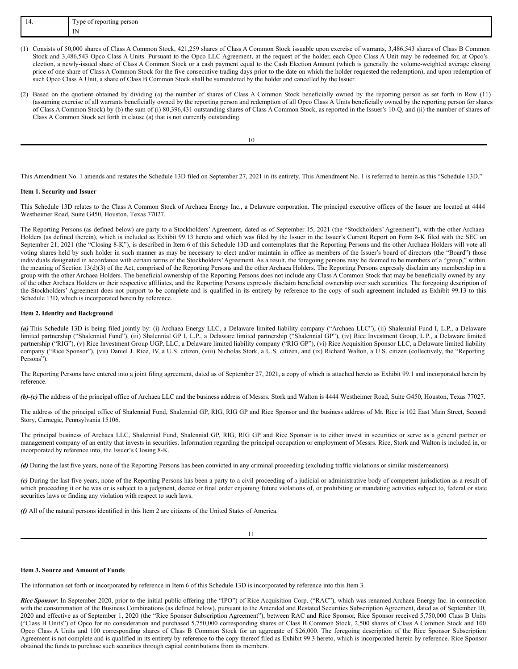| . | <b>vne</b><br>t reporting person<br>$\sim$<br>ر ب<br>- - |  |
|---|----------------------------------------------------------|--|
|   | $\mathbf{L}$<br>                                         |  |

- (1) Consists of 50,000 shares of Class A Common Stock, 421,259 shares of Class A Common Stock issuable upon exercise of warrants, 3,486,543 shares of Class B Common Stock and 3,486,543 Opco Class A Units. Pursuant to the Opco LLC Agreement, at the request of the holder, each Opco Class A Unit may be redeemed for, at Opco's election, a newly-issued share of Class A Common Stock or a cash payment equal to the Cash Election Amount (which is generally the volume-weighted average closing price of one share of Class A Common Stock for the five consecutive trading days prior to the date on which the holder requested the redemption), and upon redemption of such Opco Class A Unit, a share of Class B Common Stock shall be surrendered by the holder and cancelled by the Issuer.
- (2) Based on the quotient obtained by dividing (a) the number of shares of Class A Common Stock beneficially owned by the reporting person as set forth in Row (11) (assuming exercise of all warrants beneficially owned by the reporting person and redemption of all Opco Class A Units beneficially owned by the reporting person for shares of Class A Common Stock) by (b) the sum of (i) 80,396,431 outstanding shares of Class A Common Stock, as reported in the Issuer's 10-Q, and (ii) the number of shares of Class A Common Stock set forth in clause (a) that is not currently outstanding.

10

This Amendment No. 1 amends and restates the Schedule 13D filed on September 27, 2021 in its entirety. This Amendment No. 1 is referred to herein as this "Schedule 13D."

#### **Item 1. Security and Issuer**

This Schedule 13D relates to the Class A Common Stock of Archaea Energy Inc., a Delaware corporation. The principal executive offices of the Issuer are located at 4444 Westheimer Road, Suite G450, Houston, Texas 77027.

The Reporting Persons (as defined below) are party to a Stockholders' Agreement, dated as of September 15, 2021 (the "Stockholders' Agreement"), with the other Archaea Holders (as defined therein), which is included as Exhibit 99.13 hereto and which was filed by the Issuer in the Issuer's Current Report on Form 8-K filed with the SEC on September 21, 2021 (the "Closing 8-K"), is described in Item 6 of this Schedule 13D and contemplates that the Reporting Persons and the other Archaea Holders will vote all voting shares held by such holder in such manner as may be necessary to elect and/or maintain in office as members of the Issuer's board of directors (the "Board") those individuals designated in accordance with certain terms of the Stockholders' Agreement. As a result, the foregoing persons may be deemed to be members of a "group," within the meaning of Section 13(d)(3) of the Act, comprised of the Reporting Persons and the other Archaea Holders. The Reporting Persons expressly disclaim any membership in a group with the other Archaea Holders. The beneficial ownership of the Reporting Persons does not include any Class A Common Stock that may be beneficially owned by any of the other Archaea Holders or their respective affiliates, and the Reporting Persons expressly disclaim beneficial ownership over such securities. The foregoing description of the Stockholders' Agreement does not purport to be complete and is qualified in its entirety by reference to the copy of such agreement included as Exhibit 99.13 to this Schedule 13D, which is incorporated herein by reference.

#### **Item 2. Identity and Background**

(a) This Schedule 13D is being filed jointly by: (i) Archaea Energy LLC, a Delaware limited liability company ("Archaea LLC"), (ii) Shalennial Fund I, L.P., a Delaware limited partnership ("Shalennial Fund"), (iii) Shalennial GP I, L.P., a Delaware limited partnership ("Shalennial GP"), (iv) Rice Investment Group, L.P., a Delaware limited partnership ("RIG"), (v) Rice Investment Group UGP, LLC, a Delaware limited liability company ("RIG GP"), (vi) Rice Acquisition Sponsor LLC, a Delaware limited liability company ("Rice Sponsor"), (vii) Daniel J. Rice, IV, a U.S. citizen, (viii) Nicholas Stork, a U.S. citizen, and (ix) Richard Walton, a U.S. citizen (collectively, the "Reporting Persons").

The Reporting Persons have entered into a joint filing agreement, dated as of September 27, 2021, a copy of which is attached hereto as Exhibit 99.1 and incorporated herein by reference.

*(b)-(c)* The address of the principal office of Archaea LLC and the business address of Messrs. Stork and Walton is 4444 Westheimer Road, Suite G450, Houston, Texas 77027.

The address of the principal office of Shalennial Fund, Shalennial GP, RIG, RIG GP and Rice Sponsor and the business address of Mr. Rice is 102 East Main Street, Second Story, Carnegie, Pennsylvania 15106.

The principal business of Archaea LLC, Shalennial Fund, Shalennial GP, RIG, RIG GP and Rice Sponsor is to either invest in securities or serve as a general partner or management company of an entity that invests in securities. Information regarding the principal occupation or employment of Messrs. Rice, Stork and Walton is included in, or incorporated by reference into, the Issuer's Closing 8-K.

*(d)* During the last five years, none of the Reporting Persons has been convicted in any criminal proceeding (excluding traffic violations or similar misdemeanors).

*(e)* During the last five years, none of the Reporting Persons has been a party to a civil proceeding of a judicial or administrative body of competent jurisdiction as a result of which proceeding it or he was or is subject to a judgment, decree or final order enjoining future violations of, or prohibiting or mandating activities subject to, federal or state securities laws or finding any violation with respect to such laws.

*(f)* All of the natural persons identified in this Item 2 are citizens of the United States of America.

#### **Item 3. Source and Amount of Funds**

The information set forth or incorporated by reference in Item 6 of this Schedule 13D is incorporated by reference into this Item 3.

*Rice Sponsor*: In September 2020, prior to the initial public offering (the "IPO") of Rice Acquisition Corp. ("RAC"), which was renamed Archaea Energy Inc. in connection with the consummation of the Business Combinations (as defined below), pursuant to the Amended and Restated Securities Subscription Agreement, dated as of September 10, 2020 and effective as of September 1, 2020 (the "Rice Sponsor Subscription Agreement"), between RAC and Rice Sponsor, Rice Sponsor received 5,750,000 Class B Units ("Class B Units") of Opco for no consideration and purchased 5,750,000 corresponding shares of Class B Common Stock, 2,500 shares of Class A Common Stock and 100 Opco Class A Units and 100 corresponding shares of Class B Common Stock for an aggregate of \$26,000. The foregoing description of the Rice Sponsor Subscription Agreement is not complete and is qualified in its entirety by reference to the copy thereof filed as Exhibit 99.3 hereto, which is incorporated herein by reference. Rice Sponsor obtained the funds to purchase such securities through capital contributions from its members.

<sup>11</sup>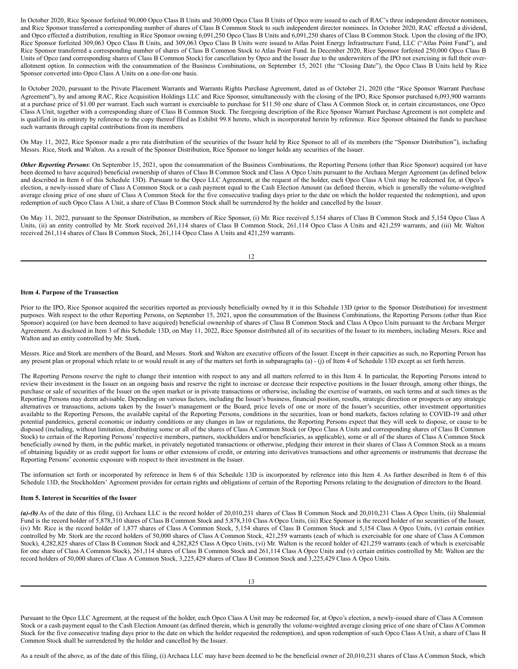In October 2020, Rice Sponsor forfeited 90,000 Opco Class B Units and 30,000 Opco Class B Units of Opco were issued to each of RAC's three independent director nominees, and Rice Sponsor transferred a corresponding number of shares of Class B Common Stock to such independent director nominees. In October 2020, RAC effected a dividend, and Opco effected a distribution, resulting in Rice Sponsor owning 6,091,250 Opco Class B Units and 6,091,250 shares of Class B Common Stock. Upon the closing of the IPO, Rice Sponsor forfeited 309,063 Opco Class B Units, and 309,063 Opco Class B Units were issued to Atlas Point Energy Infrastructure Fund, LLC ("Atlas Point Fund"), and Rice Sponsor transferred a corresponding number of shares of Class B Common Stock to Atlas Point Fund. In December 2020, Rice Sponsor forfeited 250,000 Opco Class B Units of Opco (and corresponding shares of Class B Common Stock) for cancellation by Opco and the Issuer due to the underwriters of the IPO not exercising in full their overallotment option. In connection with the consummation of the Business Combinations, on September 15, 2021 (the "Closing Date"), the Opco Class B Units held by Rice Sponsor converted into Opco Class A Units on a one-for-one basis.

In October 2020, pursuant to the Private Placement Warrants and Warrants Rights Purchase Agreement, dated as of October 21, 2020 (the "Rice Sponsor Warrant Purchase Agreement"), by and among RAC, Rice Acquisition Holdings LLC and Rice Sponsor, simultaneously with the closing of the IPO, Rice Sponsor purchased 6,093,900 warrants at a purchase price of \$1.00 per warrant. Each such warrant is exercisable to purchase for \$11.50 one share of Class A Common Stock or, in certain circumstances, one Opco Class A Unit, together with a corresponding share of Class B Common Stock. The foregoing description of the Rice Sponsor Warrant Purchase Agreement is not complete and is qualified in its entirety by reference to the copy thereof filed as Exhibit 99.8 hereto, which is incorporated herein by reference. Rice Sponsor obtained the funds to purchase such warrants through capital contributions from its members.

On May 11, 2022, Rice Sponsor made a pro rata distribution of the securities of the Issuer held by Rice Sponsor to all of its members (the "Sponsor Distribution"), including Messrs. Rice, Stork and Walton. As a result of the Sponsor Distribution, Rice Sponsor no longer holds any securities of the Issuer.

*Other Reporting Persons*: On September 15, 2021, upon the consummation of the Business Combinations, the Reporting Persons (other than Rice Sponsor) acquired (or have been deemed to have acquired) beneficial ownership of shares of Class B Common Stock and Class A Opco Units pursuant to the Archaea Merger Agreement (as defined below and described in Item 6 of this Schedule 13D). Pursuant to the Opco LLC Agreement, at the request of the holder, each Opco Class A Unit may be redeemed for, at Opco's election, a newly-issued share of Class A Common Stock or a cash payment equal to the Cash Election Amount (as defined therein, which is generally the volume-weighted average closing price of one share of Class A Common Stock for the five consecutive trading days prior to the date on which the holder requested the redemption), and upon redemption of such Opco Class A Unit, a share of Class B Common Stock shall be surrendered by the holder and cancelled by the Issuer.

On May 11, 2022, pursuant to the Sponsor Distribution, as members of Rice Sponsor, (i) Mr. Rice received 5,154 shares of Class B Common Stock and 5,154 Opco Class A Units, (ii) an entity controlled by Mr. Stork received 261,114 shares of Class B Common Stock, 261,114 Opco Class A Units and 421,259 warrants, and (iii) Mr. Walton received 261,114 shares of Class B Common Stock, 261,114 Opco Class A Units and 421,259 warrants.

12

### **Item 4. Purpose of the Transaction**

Prior to the IPO, Rice Sponsor acquired the securities reported as previously beneficially owned by it in this Schedule 13D (prior to the Sponsor Distribution) for investment purposes. With respect to the other Reporting Persons, on September 15, 2021, upon the consummation of the Business Combinations, the Reporting Persons (other than Rice Sponsor) acquired (or have been deemed to have acquired) beneficial ownership of shares of Class B Common Stock and Class A Opco Units pursuant to the Archaea Merger Agreement. As disclosed in Item 3 of this Schedule 13D, on May 11, 2022, Rice Sponsor distributed all of its securities of the Issuer to its members, including Messrs. Rice and Walton and an entity controlled by Mr. Stork.

Messrs. Rice and Stork are members of the Board, and Messrs. Stork and Walton are executive officers of the Issuer. Except in their capacities as such, no Reporting Person has any present plan or proposal which relate to or would result in any of the matters set forth in subparagraphs (a) - (j) of Item 4 of Schedule 13D except as set forth herein.

The Reporting Persons reserve the right to change their intention with respect to any and all matters referred to in this Item 4. In particular, the Reporting Persons intend to review their investment in the Issuer on an ongoing basis and reserve the right to increase or decrease their respective positions in the Issuer through, among other things, the purchase or sale of securities of the Issuer on the open market or in private transactions or otherwise, including the exercise of warrants, on such terms and at such times as the Reporting Persons may deem advisable. Depending on various factors, including the Issuer's business, financial position, results, strategic direction or prospects or any strategic alternatives or transactions, actions taken by the Issuer's management or the Board, price levels of one or more of the Issuer's securities, other investment opportunities available to the Reporting Persons, the available capital of the Reporting Persons, conditions in the securities, loan or bond markets, factors relating to COVID-19 and other potential pandemics, general economic or industry conditions or any changes in law or regulations, the Reporting Persons expect that they will seek to dispose, or cause to be disposed (including, without limitation, distributing some or all of the shares of Class A Common Stock (or Opco Class A Units and corresponding shares of Class B Common Stock) to certain of the Reporting Persons' respective members, partners, stockholders and/or beneficiaries, as applicable), some or all of the shares of Class A Common Stock beneficially owned by them, in the public market, in privately negotiated transactions or otherwise, pledging their interest in their shares of Class A Common Stock as a means of obtaining liquidity or as credit support for loans or other extensions of credit, or entering into derivatives transactions and other agreements or instruments that decrease the Reporting Persons' economic exposure with respect to their investment in the Issuer.

The information set forth or incorporated by reference in Item 6 of this Schedule 13D is incorporated by reference into this Item 4. As further described in Item 6 of this Schedule 13D, the Stockholders' Agreement provides for certain rights and obligations of certain of the Reporting Persons relating to the designation of directors to the Board.

#### **Item 5. Interest in Securities of the Issuer**

*(a)-(b)* As of the date of this filing, (i) Archaea LLC is the record holder of 20,010,231 shares of Class B Common Stock and 20,010,231 Class A Opco Units, (ii) Shalennial Fund is the record holder of 5,878,310 shares of Class B Common Stock and 5,878,310 Class A Opco Units, (iii) Rice Sponsor is the record holder of no securities of the Issuer, (iv) Mr. Rice is the record holder of 1,877 shares of Class A Common Stock, 5,154 shares of Class B Common Stock and 5,154 Class A Opco Units, (v) certain entities controlled by Mr. Stork are the record holders of 50,000 shares of Class A Common Stock, 421,259 warrants (each of which is exercisable for one share of Class A Common Stock), 4,282,825 shares of Class B Common Stock and 4,282,825 Class A Opco Units, (vi) Mr. Walton is the record holder of 421,259 warrants (each of which is exercisable for one share of Class A Common Stock), 261,114 shares of Class B Common Stock and 261,114 Class A Opco Units and (v) certain entities controlled by Mr. Walton are the record holders of 50,000 shares of Class A Common Stock, 3,225,429 shares of Class B Common Stock and 3,225,429 Class A Opco Units.

Pursuant to the Opco LLC Agreement, at the request of the holder, each Opco Class A Unit may be redeemed for, at Opco's election, a newly-issued share of Class A Common Stock or a cash payment equal to the Cash Election Amount (as defined therein, which is generally the volume-weighted average closing price of one share of Class A Common Stock for the five consecutive trading days prior to the date on which the holder requested the redemption), and upon redemption of such Opco Class A Unit, a share of Class B Common Stock shall be surrendered by the holder and cancelled by the Issuer.

As a result of the above, as of the date of this filing, (i) Archaea LLC may have been deemed to be the beneficial owner of 20,010,231 shares of Class A Common Stock, which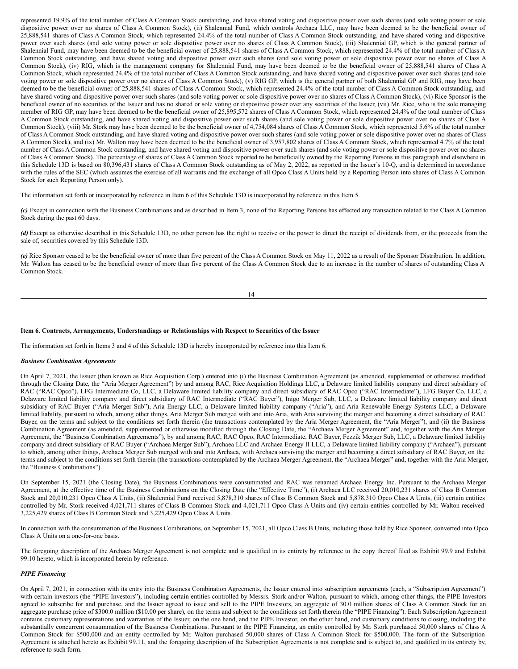represented 19.9% of the total number of Class A Common Stock outstanding, and have shared voting and dispositive power over such shares (and sole voting power or sole dispositive power over no shares of Class A Common Stock), (ii) Shalennial Fund, which controls Archaea LLC, may have been deemed to be the beneficial owner of 25,888,541 shares of Class A Common Stock, which represented 24.4% of the total number of Class A Common Stock outstanding, and have shared voting and dispositive power over such shares (and sole voting power or sole dispositive power over no shares of Class A Common Stock), (iii) Shalennial GP, which is the general partner of Shalennial Fund, may have been deemed to be the beneficial owner of 25,888,541 shares of Class A Common Stock, which represented 24.4% of the total number of Class A Common Stock outstanding, and have shared voting and dispositive power over such shares (and sole voting power or sole dispositive power over no shares of Class A Common Stock), (iv) RIG, which is the management company for Shalennial Fund, may have been deemed to be the beneficial owner of 25,888,541 shares of Class A Common Stock, which represented 24.4% of the total number of Class A Common Stock outstanding, and have shared voting and dispositive power over such shares (and sole voting power or sole dispositive power over no shares of Class A Common Stock), (v) RIG GP, which is the general partner of both Shalennial GP and RIG, may have been deemed to be the beneficial owner of 25,888,541 shares of Class A Common Stock, which represented 24.4% of the total number of Class A Common Stock outstanding, and have shared voting and dispositive power over such shares (and sole voting power or sole dispositive power over no shares of Class A Common Stock), (vi) Rice Sponsor is the beneficial owner of no securities of the Issuer and has no shared or sole voting or dispositive power over any securities of the Issuer, (vii) Mr. Rice, who is the sole managing member of RIG GP, may have been deemed to be the beneficial owner of 25,895,572 shares of Class A Common Stock, which represented 24.4% of the total number of Class A Common Stock outstanding, and have shared voting and dispositive power over such shares (and sole voting power or sole dispositive power over no shares of Class A Common Stock), (viii) Mr. Stork may have been deemed to be the beneficial owner of 4,754,084 shares of Class A Common Stock, which represented 5.6% of the total number of Class A Common Stock outstanding, and have shared voting and dispositive power over such shares (and sole voting power or sole dispositive power over no shares of Class A Common Stock), and (ix) Mr. Walton may have been deemed to be the beneficial owner of 3,957,802 shares of Class A Common Stock, which represented 4.7% of the total number of Class A Common Stock outstanding, and have shared voting and dispositive power over such shares (and sole voting power or sole dispositive power over no shares of Class A Common Stock). The percentage of shares of Class A Common Stock reported to be beneficially owned by the Reporting Persons in this paragraph and elsewhere in this Schedule 13D is based on 80,396,431 shares of Class A Common Stock outstanding as of May 2, 2022, as reported in the Issuer's 10-Q, and is determined in accordance with the rules of the SEC (which assumes the exercise of all warrants and the exchange of all Opco Class A Units held by a Reporting Person into shares of Class A Common Stock for such Reporting Person only).

The information set forth or incorporated by reference in Item 6 of this Schedule 13D is incorporated by reference in this Item 5.

*(c)* Except in connection with the Business Combinations and as described in Item 3, none of the Reporting Persons has effected any transaction related to the Class A Common Stock during the past 60 days.

*(d)* Except as otherwise described in this Schedule 13D, no other person has the right to receive or the power to direct the receipt of dividends from, or the proceeds from the sale of, securities covered by this Schedule 13D.

*(e)* Rice Sponsor ceased to be the beneficial owner of more than five percent of the Class A Common Stock on May 11, 2022 as a result of the Sponsor Distribution. In addition, Mr. Walton has ceased to be the beneficial owner of more than five percent of the Class A Common Stock due to an increase in the number of shares of outstanding Class A Common Stock.

### **Item 6. Contracts, Arrangements, Understandings or Relationships with Respect to Securities of the Issuer**

The information set forth in Items 3 and 4 of this Schedule 13D is hereby incorporated by reference into this Item 6.

### *Business Combination Agreements*

On April 7, 2021, the Issuer (then known as Rice Acquisition Corp.) entered into (i) the Business Combination Agreement (as amended, supplemented or otherwise modified through the Closing Date, the "Aria Merger Agreement") by and among RAC, Rice Acquisition Holdings LLC, a Delaware limited liability company and direct subsidiary of RAC ("RAC Opco"), LFG Intermediate Co, LLC, a Delaware limited liability company and direct subsidiary of RAC Opco ("RAC Intermediate"), LFG Buyer Co, LLC, a Delaware limited liability company and direct subsidiary of RAC Intermediate ("RAC Buyer"), Inigo Merger Sub, LLC, a Delaware limited liability company and direct subsidiary of RAC Buyer ("Aria Merger Sub"), Aria Energy LLC, a Delaware limited liability company ("Aria"), and Aria Renewable Energy Systems LLC, a Delaware limited liability, pursuant to which, among other things, Aria Merger Sub merged with and into Aria, with Aria surviving the merger and becoming a direct subsidiary of RAC Buyer, on the terms and subject to the conditions set forth therein (the transactions contemplated by the Aria Merger Agreement, the "Aria Merger"), and (ii) the Business Combination Agreement (as amended, supplemented or otherwise modified through the Closing Date, the "Archaea Merger Agreement" and, together with the Aria Merger Agreement, the "Business Combination Agreements"), by and among RAC, RAC Opco, RAC Intermediate, RAC Buyer, Fezzik Merger Sub, LLC, a Delaware limited liability company and direct subsidiary of RAC Buyer ("Archaea Merger Sub"), Archaea LLC and Archaea Energy II LLC, a Delaware limited liability company ("Archaea"), pursuant to which, among other things, Archaea Merger Sub merged with and into Archaea, with Archaea surviving the merger and becoming a direct subsidiary of RAC Buyer, on the terms and subject to the conditions set forth therein (the transactions contemplated by the Archaea Merger Agreement, the "Archaea Merger" and, together with the Aria Merger, the "Business Combinations").

On September 15, 2021 (the Closing Date), the Business Combinations were consummated and RAC was renamed Archaea Energy Inc. Pursuant to the Archaea Merger Agreement, at the effective time of the Business Combinations on the Closing Date (the "Effective Time"), (i) Archaea LLC received 20,010,231 shares of Class B Common Stock and 20,010,231 Opco Class A Units, (ii) Shalennial Fund received 5,878,310 shares of Class B Common Stock and 5,878,310 Opco Class A Units, (iii) certain entities controlled by Mr. Stork received 4,021,711 shares of Class B Common Stock and 4,021,711 Opco Class A Units and (iv) certain entities controlled by Mr. Walton received 3,225,429 shares of Class B Common Stock and 3,225,429 Opco Class A Units.

In connection with the consummation of the Business Combinations, on September 15, 2021, all Opco Class B Units, including those held by Rice Sponsor, converted into Opco Class A Units on a one-for-one basis.

The foregoing description of the Archaea Merger Agreement is not complete and is qualified in its entirety by reference to the copy thereof filed as Exhibit 99.9 and Exhibit 99.10 hereto, which is incorporated herein by reference.

## *PIPE Financing*

On April 7, 2021, in connection with its entry into the Business Combination Agreements, the Issuer entered into subscription agreements (each, a "Subscription Agreement") with certain investors (the "PIPE Investors"), including certain entities controlled by Messrs. Stork and/or Walton, pursuant to which, among other things, the PIPE Investors agreed to subscribe for and purchase, and the Issuer agreed to issue and sell to the PIPE Investors, an aggregate of 30.0 million shares of Class A Common Stock for an aggregate purchase price of \$300.0 million (\$10.00 per share), on the terms and subject to the conditions set forth therein (the "PIPE Financing"). Each Subscription Agreement contains customary representations and warranties of the Issuer, on the one hand, and the PIPE Investor, on the other hand, and customary conditions to closing, including the substantially concurrent consummation of the Business Combinations. Pursuant to the PIPE Financing, an entity controlled by Mr. Stork purchased 50,000 shares of Class A Common Stock for \$500,000 and an entity controlled by Mr. Walton purchased 50,000 shares of Class A Common Stock for \$500,000. The form of the Subscription Agreement is attached hereto as Exhibit 99.11, and the foregoing description of the Subscription Agreements is not complete and is subject to, and qualified in its entirety by, reference to such form.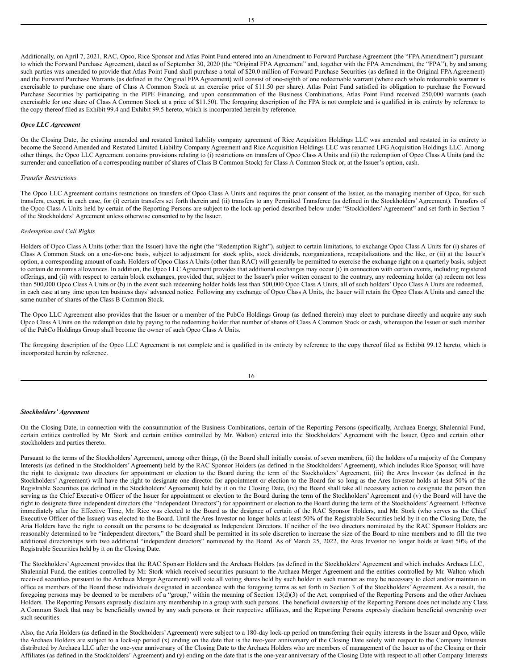Additionally, on April 7, 2021, RAC, Opco, Rice Sponsor and Atlas Point Fund entered into an Amendment to Forward Purchase Agreement (the "FPAAmendment") pursuant to which the Forward Purchase Agreement, dated as of September 30, 2020 (the "Original FPA Agreement" and, together with the FPA Amendment, the "FPA"), by and among such parties was amended to provide that Atlas Point Fund shall purchase a total of \$20.0 million of Forward Purchase Securities (as defined in the Original FPA Agreement) and the Forward Purchase Warrants (as defined in the Original FPAAgreement) will consist of one-eighth of one redeemable warrant (where each whole redeemable warrant is exercisable to purchase one share of Class A Common Stock at an exercise price of \$11.50 per share). Atlas Point Fund satisfied its obligation to purchase the Forward Purchase Securities by participating in the PIPE Financing, and upon consummation of the Business Combinations, Atlas Point Fund received 250,000 warrants (each exercisable for one share of Class A Common Stock at a price of \$11.50). The foregoing description of the FPA is not complete and is qualified in its entirety by reference to the copy thereof filed as Exhibit 99.4 and Exhibit 99.5 hereto, which is incorporated herein by reference.

### *Opco LLC Agreement*

On the Closing Date, the existing amended and restated limited liability company agreement of Rice Acquisition Holdings LLC was amended and restated in its entirety to become the Second Amended and Restated Limited Liability Company Agreement and Rice Acquisition Holdings LLC was renamed LFG Acquisition Holdings LLC. Among other things, the Opco LLC Agreement contains provisions relating to (i) restrictions on transfers of Opco Class A Units and (ii) the redemption of Opco Class A Units (and the surrender and cancellation of a corresponding number of shares of Class B Common Stock) for Class A Common Stock or, at the Issuer's option, cash.

#### *Transfer Restrictions*

The Opco LLC Agreement contains restrictions on transfers of Opco Class A Units and requires the prior consent of the Issuer, as the managing member of Opco, for such transfers, except, in each case, for (i) certain transfers set forth therein and (ii) transfers to any Permitted Transferee (as defined in the Stockholders' Agreement). Transfers of the Opco Class A Units held by certain of the Reporting Persons are subject to the lock-up period described below under "Stockholders' Agreement" and set forth in Section 7 of the Stockholders' Agreement unless otherwise consented to by the Issuer.

#### *Redemption and Call Rights*

Holders of Opco Class A Units (other than the Issuer) have the right (the "Redemption Right"), subject to certain limitations, to exchange Opco Class A Units for (i) shares of Class A Common Stock on a one-for-one basis, subject to adjustment for stock splits, stock dividends, reorganizations, recapitalizations and the like, or (ii) at the Issuer's option, a corresponding amount of cash. Holders of Opco Class A Units (other than RAC) will generally be permitted to exercise the exchange right on a quarterly basis, subject to certain de minimis allowances. In addition, the Opco LLC Agreement provides that additional exchanges may occur (i) in connection with certain events, including registered offerings, and (ii) with respect to certain block exchanges, provided that, subject to the Issuer's prior written consent to the contrary, any redeeming holder (a) redeem not less than 500,000 Opco Class A Units or (b) in the event such redeeming holder holds less than 500,000 Opco Class A Units, all of such holders' Opco Class A Units are redeemed, in each case at any time upon ten business days' advanced notice. Following any exchange of Opco Class A Units, the Issuer will retain the Opco Class A Units and cancel the same number of shares of the Class B Common Stock.

The Opco LLC Agreement also provides that the Issuer or a member of the PubCo Holdings Group (as defined therein) may elect to purchase directly and acquire any such Opco Class A Units on the redemption date by paying to the redeeming holder that number of shares of Class A Common Stock or cash, whereupon the Issuer or such member of the PubCo Holdings Group shall become the owner of such Opco Class A Units.

The foregoing description of the Opco LLC Agreement is not complete and is qualified in its entirety by reference to the copy thereof filed as Exhibit 99.12 hereto, which is incorporated herein by reference.

## *Stockholders' Agreement*

On the Closing Date, in connection with the consummation of the Business Combinations, certain of the Reporting Persons (specifically, Archaea Energy, Shalennial Fund, certain entities controlled by Mr. Stork and certain entities controlled by Mr. Walton) entered into the Stockholders' Agreement with the Issuer, Opco and certain other stockholders and parties thereto.

Pursuant to the terms of the Stockholders' Agreement, among other things, (i) the Board shall initially consist of seven members, (ii) the holders of a majority of the Company Interests (as defined in the Stockholders' Agreement) held by the RAC Sponsor Holders (as defined in the Stockholders' Agreement), which includes Rice Sponsor, will have the right to designate two directors for appointment or election to the Board during the term of the Stockholders' Agreement, (iii) the Ares Investor (as defined in the Stockholders' Agreement) will have the right to designate one director for appointment or election to the Board for so long as the Ares Investor holds at least 50% of the Registrable Securities (as defined in the Stockholders' Agreement) held by it on the Closing Date, (iv) the Board shall take all necessary action to designate the person then serving as the Chief Executive Officer of the Issuer for appointment or election to the Board during the term of the Stockholders' Agreement and (v) the Board will have the right to designate three independent directors (the "Independent Directors") for appointment or election to the Board during the term of the Stockholders'Agreement. Effective immediately after the Effective Time, Mr. Rice was elected to the Board as the designee of certain of the RAC Sponsor Holders, and Mr. Stork (who serves as the Chief Executive Officer of the Issuer) was elected to the Board. Until the Ares Investor no longer holds at least 50% of the Registrable Securities held by it on the Closing Date, the Aria Holders have the right to consult on the persons to be designated as Independent Directors. If neither of the two directors nominated by the RAC Sponsor Holders are reasonably determined to be "independent directors," the Board shall be permitted in its sole discretion to increase the size of the Board to nine members and to fill the two additional directorships with two additional "independent directors" nominated by the Board. As of March 25, 2022, the Ares Investor no longer holds at least 50% of the Registrable Securities held by it on the Closing Date.

The Stockholders'Agreement provides that the RAC Sponsor Holders and the Archaea Holders (as defined in the Stockholders'Agreement and which includes Archaea LLC, Shalennial Fund, the entities controlled by Mr. Stork which received securities pursuant to the Archaea Merger Agreement and the entities controlled by Mr. Walton which received securities pursuant to the Archaea Merger Agreement) will vote all voting shares held by such holder in such manner as may be necessary to elect and/or maintain in office as members of the Board those individuals designated in accordance with the foregoing terms as set forth in Section 3 of the Stockholders' Agreement. As a result, the foregoing persons may be deemed to be members of a "group," within the meaning of Section 13(d)(3) of the Act, comprised of the Reporting Persons and the other Archaea Holders. The Reporting Persons expressly disclaim any membership in a group with such persons. The beneficial ownership of the Reporting Persons does not include any Class A Common Stock that may be beneficially owned by any such persons or their respective affiliates, and the Reporting Persons expressly disclaim beneficial ownership over such securities.

Also, the Aria Holders (as defined in the Stockholders'Agreement) were subject to a 180-day lock-up period on transferring their equity interests in the Issuer and Opco, while the Archaea Holders are subject to a lock-up period (x) ending on the date that is the two-year anniversary of the Closing Date solely with respect to the Company Interests distributed by Archaea LLC after the one-year anniversary of the Closing Date to the Archaea Holders who are members of management of the Issuer as of the Closing or their Affiliates (as defined in the Stockholders' Agreement) and (y) ending on the date that is the one-year anniversary of the Closing Date with respect to all other Company Interests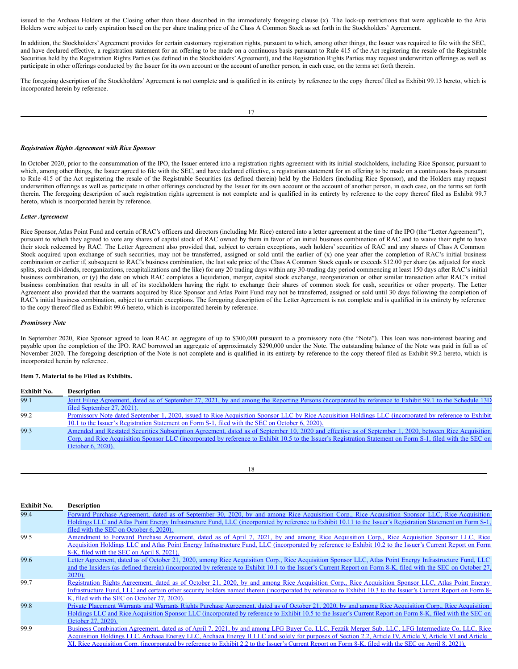issued to the Archaea Holders at the Closing other than those described in the immediately foregoing clause (x). The lock-up restrictions that were applicable to the Aria Holders were subject to early expiration based on the per share trading price of the Class A Common Stock as set forth in the Stockholders' Agreement.

In addition, the Stockholders'Agreement provides for certain customary registration rights, pursuant to which, among other things, the Issuer was required to file with the SEC, and have declared effective, a registration statement for an offering to be made on a continuous basis pursuant to Rule 415 of the Act registering the resale of the Registrable Securities held by the Registration Rights Parties (as defined in the Stockholders' Agreement), and the Registration Rights Parties may request underwritten offerings as well as participate in other offerings conducted by the Issuer for its own account or the account of another person, in each case, on the terms set forth therein.

The foregoing description of the Stockholders'Agreement is not complete and is qualified in its entirety by reference to the copy thereof filed as Exhibit 99.13 hereto, which is incorporated herein by reference.

### *Registration Rights Agreement with Rice Sponsor*

In October 2020, prior to the consummation of the IPO, the Issuer entered into a registration rights agreement with its initial stockholders, including Rice Sponsor, pursuant to which, among other things, the Issuer agreed to file with the SEC, and have declared effective, a registration statement for an offering to be made on a continuous basis pursuant to Rule 415 of the Act registering the resale of the Registrable Securities (as defined therein) held by the Holders (including Rice Sponsor), and the Holders may request underwritten offerings as well as participate in other offerings conducted by the Issuer for its own account or the account of another person, in each case, on the terms set forth therein. The foregoing description of such registration rights agreement is not complete and is qualified in its entirety by reference to the copy thereof filed as Exhibit 99.7 hereto, which is incorporated herein by reference.

### *Letter Agreement*

Rice Sponsor, Atlas Point Fund and certain of RAC's officers and directors (including Mr. Rice) entered into a letter agreement at the time of the IPO (the "Letter Agreement"), pursuant to which they agreed to vote any shares of capital stock of RAC owned by them in favor of an initial business combination of RAC and to waive their right to have their stock redeemed by RAC. The Letter Agreement also provided that, subject to certain exceptions, such holders' securities of RAC and any shares of Class A Common Stock acquired upon exchange of such securities, may not be transferred, assigned or sold until the earlier of (x) one year after the completion of RAC's initial business combination or earlier if, subsequent to RAC's business combination, the last sale price of the Class A Common Stock equals or exceeds \$12.00 per share (as adjusted for stock splits, stock dividends, reorganizations, recapitalizations and the like) for any 20 trading days within any 30-trading day period commencing at least 150 days after RAC's initial business combination, or (y) the date on which RAC completes a liquidation, merger, capital stock exchange, reorganization or other similar transaction after RAC's initial business combination that results in all of its stockholders having the right to exchange their shares of common stock for cash, securities or other property. The Letter Agreement also provided that the warrants acquired by Rice Sponsor and Atlas Point Fund may not be transferred, assigned or sold until 30 days following the completion of RAC's initial business combination, subject to certain exceptions. The foregoing description of the Letter Agreement is not complete and is qualified in its entirety by reference to the copy thereof filed as Exhibit 99.6 hereto, which is incorporated herein by reference.

#### *Promissory Note*

In September 2020, Rice Sponsor agreed to loan RAC an aggregate of up to \$300,000 pursuant to a promissory note (the "Note"). This loan was non-interest bearing and payable upon the completion of the IPO. RAC borrowed an aggregate of approximately \$290,000 under the Note. The outstanding balance of the Note was paid in full as of November 2020. The foregoing description of the Note is not complete and is qualified in its entirety by reference to the copy thereof filed as Exhibit 99.2 hereto, which is incorporated herein by reference.

### **Item 7. Material to be Filed as Exhibits.**

| <b>Exhibit No.</b> | <b>Description</b>                                                                                                                                                                                                                                                                                                                         |
|--------------------|--------------------------------------------------------------------------------------------------------------------------------------------------------------------------------------------------------------------------------------------------------------------------------------------------------------------------------------------|
| 99.1               | Joint Filing Agreement, dated as of September 27, 2021, by and among the Reporting Persons (incorporated by reference to Exhibit 99.1 to the Schedule 13D<br>filed September 27, 2021).                                                                                                                                                    |
| 99.2               | Promissory Note dated September 1, 2020, issued to Rice Acquisition Sponsor LLC by Rice Acquisition Holdings LLC (incorporated by reference to Exhibit<br>10.1 to the Issuer's Registration Statement on Form S-1, filed with the SEC on October 6, 2020).                                                                                 |
| 99.3               | Amended and Restated Securities Subscription Agreement, dated as of September 10, 2020 and effective as of September 1, 2020, between Rice Acquisition<br>Corp. and Rice Acquisition Sponsor LLC (incorporated by reference to Exhibit 10.5 to the Issuer's Registration Statement on Form S-1, filed with the SEC on<br>October 6, 2020). |
|                    |                                                                                                                                                                                                                                                                                                                                            |

|  | ×<br>I<br>w<br>۹ |  |
|--|------------------|--|

| <b>Exhibit No.</b> | <b>Description</b>                                                                                                                                             |
|--------------------|----------------------------------------------------------------------------------------------------------------------------------------------------------------|
| 99.4               | Forward Purchase Agreement, dated as of September 30, 2020, by and among Rice Acquisition Corp., Rice Acquisition Sponsor LLC, Rice Acquisition                |
|                    | Holdings LLC and Atlas Point Energy Infrastructure Fund, LLC (incorporated by reference to Exhibit 10.11 to the Issuer's Registration Statement on Form S-1,   |
|                    | filed with the SEC on October 6, 2020).                                                                                                                        |
| 99.5               | Amendment to Forward Purchase Agreement, dated as of April 7, 2021, by and among Rice Acquisition Corp., Rice Acquisition Sponsor LLC, Rice                    |
|                    | Acquisition Holdings LLC and Atlas Point Energy Infrastructure Fund, LLC (incorporated by reference to Exhibit 10.2 to the Issuer's Current Report on Form     |
|                    | 8-K, filed with the SEC on April 8, 2021).                                                                                                                     |
| 99.6               | Letter Agreement, dated as of October 21, 2020, among Rice Acquisition Corp., Rice Acquisition Sponsor LLC, Atlas Point Energy Infrastructure Fund, LLC        |
|                    | and the Insiders (as defined therein) (incorporated by reference to Exhibit 10.1 to the Issuer's Current Report on Form 8-K, filed with the SEC on October 27, |
|                    | 2020).                                                                                                                                                         |
| 99.7               | Registration Rights Agreement, dated as of October 21, 2020, by and among Rice Acquisition Corp., Rice Acquisition Sponsor LLC, Atlas Point Energy             |
|                    | Infrastructure Fund, LLC and certain other security holders named therein (incorporated by reference to Exhibit 10.3 to the Issuer's Current Report on Form 8- |
|                    | K, filed with the SEC on October 27, 2020).                                                                                                                    |
| 99.8               | Private Placement Warrants and Warrants Rights Purchase Agreement, dated as of October 21, 2020, by and among Rice Acquisition Corp., Rice Acquisition         |
|                    | Holdings LLC and Rice Acquisition Sponsor LLC (incorporated by reference to Exhibit 10.5 to the Issuer's Current Report on Form 8-K, filed with the SEC on     |
|                    | October 27, 2020).                                                                                                                                             |
| 99.9               | Business Combination Agreement, dated as of April 7, 2021, by and among LFG Buyer Co, LLC, Fezzik Merger Sub, LLC, LFG Intermediate Co, LLC, Rice              |
|                    | Acquisition Holdings LLC, Archaea Energy LLC, Archaea Energy II LLC and solely for purposes of Section 2.2, Article IV, Article V, Article VI and Article      |
|                    | XI, Rice Acquisition Corp. (incorporated by reference to Exhibit 2.2 to the Issuer's Current Report on Form 8-K, filed with the SEC on April 8, 2021).         |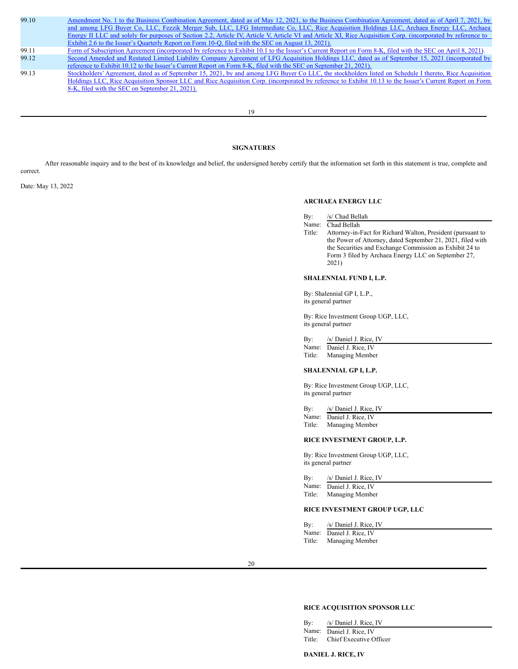99.10 Amendment No. 1 to the Business Combination Agreement, dated as of May 12, 2021, to the Business Combination Agreement, dated as of April 7, 2021, by and among LFG Buyer Co, LLC, Fezzik Merger Sub, LLC, LFG Intermediate Co, LLC, Rice Acquisition Holdings LLC, Archaea Energy LLC, Archaea Energy II LLC and solely for purposes of Section 2.2, Article IV, Article V, Article VI and Article XI, Rice Acquisition Corp. [\(incorporated](https://www.sec.gov/Archives/edgar/data/1823766/000121390021042500/f10q0621ex2-6_riceacq.htm) by reference to Exhibit 2.6 to the Issuer's Quarterly Report on Form 10-Q, filed with the SEC on August 13, 2021). 99.11 Form of Subscription Agreement [\(incorporated](https://www.sec.gov/Archives/edgar/data/1823766/000121390021020720/ea139171ex10-1_riceacq.htm) by reference to Exhibit 10.1 to the Issuer's Current Report on Form 8-K, filed with the SEC on April 8, 2021). 99.12 Second Amended and Restated Limited Liability Company Agreement of LFG Acquisition Holdings LLC, dated as of September 15, 2021 [\(incorporated](https://www.sec.gov/Archives/edgar/data/1823766/000121390021049102/ea147108ex10-12_archaea.htm) by reference to Exhibit 10.12 to the Issuer's Current Report on Form 8-K, filed with the SEC on September 21, 2021). 99.13 Stockholders' Agreement, dated as of September 15, 2021, by and among LFG Buyer Co LLC, the stockholders listed on Schedule I thereto, Rice Acquisition Holdings LLC, Rice Acquisition Sponsor LLC and Rice Acquisition Corp. (incorporated by reference to Exhibit 10.13 to the Issuer's Current Report on Form 8-K, filed with the SEC on September 21, 2021).

19

# **SIGNATURES**

After reasonable inquiry and to the best of its knowledge and belief, the undersigned hereby certify that the information set forth in this statement is true, complete and correct.

Date: May 13, 2022

## **ARCHAEA ENERGY LLC**

- By: /s/ Chad Bellah
- Name: Chad Bellah
- Title: Attorney-in-Fact for Richard Walton, President (pursuant to the Power of Attorney, dated September 21, 2021, filed with the Securities and Exchange Commission as Exhibit 24 to Form 3 filed by Archaea Energy LLC on September 27, 2021)

### **SHALENNIAL FUND I, L.P.**

By: Shalennial GP I, L.P., its general partner

By: Rice Investment Group UGP, LLC, its general partner

By: /s/ Daniel J. Rice, IV

Name: Daniel J. Rice, IV Title: Managing Member

## **SHALENNIAL GP I, L.P.**

By: Rice Investment Group UGP, LLC, its general partner

By: /s/ Daniel J. Rice, IV Name: Daniel J. Rice, IV

Title: Managing Member

## **RICE INVESTMENT GROUP, L.P.**

By: Rice Investment Group UGP, LLC, its general partner

By: /s/ Daniel J. Rice, IV

Name: Daniel J. Rice, IV Title: Managing Member

## **RICE INVESTMENT GROUP UGP, LLC**

By: /s/ Daniel J. Rice, IV Name: Daniel J. Rice, IV Title: Managing Member

20

### **RICE ACQUISITION SPONSOR LLC**

By: /s/ Daniel J. Rice, IV Name: Daniel J. Rice, IV Title: Chief Executive Officer

**DANIEL J. RICE, IV**